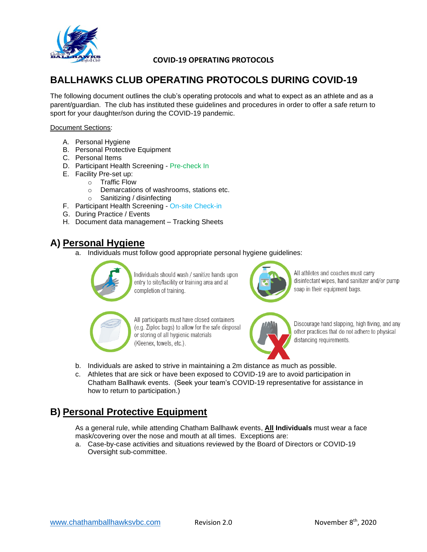

# **BALLHAWKS CLUB OPERATING PROTOCOLS DURING COVID-19**

The following document outlines the club's operating protocols and what to expect as an athlete and as a parent/guardian. The club has instituted these guidelines and procedures in order to offer a safe return to sport for your daughter/son during the COVID-19 pandemic.

#### Document Sections:

- A. Personal Hygiene
- B. Personal Protective Equipment
- C. Personal Items
- D. Participant Health Screening Pre-check In
- E. Facility Pre-set up:
	- o Traffic Flow
	- o Demarcations of washrooms, stations etc.
	- o Sanitizing / disinfecting
- F. Participant Health Screening On-site Check-in
- G. During Practice / Events
- H. Document data management Tracking Sheets

# **A) Personal Hygiene**

a. Individuals must follow good appropriate personal hygiene guidelines:



Individuals should wash / sanitize hands upon entry to site/facility or training area and at completion of training.



All athletes and coaches must carry disinfectant wipes, hand sanitizer and/or pump soap in their equipment bags.



All participants must have closed containers (e.g. Ziploc bags) to allow for the safe disposal or storing of all hygienic materials (Kleenex, towels, etc.).



Discourage hand slapping, high fiving, and any other practices that do not adhere to physical distancing requirements.

- b. Individuals are asked to strive in maintaining a 2m distance as much as possible.
- c. Athletes that are sick or have been exposed to COVID-19 are to avoid participation in Chatham Ballhawk events. (Seek your team's COVID-19 representative for assistance in how to return to participation.)

# **B) Personal Protective Equipment**

As a general rule, while attending Chatham Ballhawk events, **All Individuals** must wear a face mask/covering over the nose and mouth at all times. Exceptions are:

a. Case-by-case activities and situations reviewed by the Board of Directors or COVID-19 Oversight sub-committee.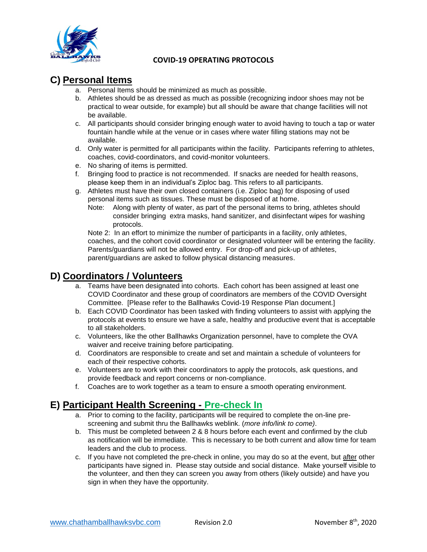

# **C) Personal Items**

- a. Personal Items should be minimized as much as possible.
- b. Athletes should be as dressed as much as possible (recognizing indoor shoes may not be practical to wear outside, for example) but all should be aware that change facilities will not be available.
- c. All participants should consider bringing enough water to avoid having to touch a tap or water fountain handle while at the venue or in cases where water filling stations may not be available.
- d. Only water is permitted for all participants within the facility. Participants referring to athletes, coaches, covid-coordinators, and covid-monitor volunteers.
- e. No sharing of items is permitted.
- f. Bringing food to practice is not recommended. If snacks are needed for health reasons, please keep them in an individual's Ziploc bag. This refers to all participants.
- g. Athletes must have their own closed containers (i.e. Ziploc bag) for disposing of used personal items such as tissues. These must be disposed of at home.
	- Note: Along with plenty of water, as part of the personal items to bring, athletes should consider bringing extra masks, hand sanitizer, and disinfectant wipes for washing protocols.

Note 2: In an effort to minimize the number of participants in a facility, only athletes, coaches, and the cohort covid coordinator or designated volunteer will be entering the facility. Parents/guardians will not be allowed entry. For drop-off and pick-up of athletes, parent/guardians are asked to follow physical distancing measures.

### **D) Coordinators / Volunteers**

- a. Teams have been designated into cohorts. Each cohort has been assigned at least one COVID Coordinator and these group of coordinators are members of the COVID Oversight Committee. [Please refer to the Ballhawks Covid-19 Response Plan document.]
- b. Each COVID Coordinator has been tasked with finding volunteers to assist with applying the protocols at events to ensure we have a safe, healthy and productive event that is acceptable to all stakeholders.
- c. Volunteers, like the other Ballhawks Organization personnel, have to complete the OVA waiver and receive training before participating.
- d. Coordinators are responsible to create and set and maintain a schedule of volunteers for each of their respective cohorts.
- e. Volunteers are to work with their coordinators to apply the protocols, ask questions, and provide feedback and report concerns or non-compliance.
- f. Coaches are to work together as a team to ensure a smooth operating environment.

# **E) Participant Health Screening - Pre-check In**

- a. Prior to coming to the facility, participants will be required to complete the on-line prescreening and submit thru the Ballhawks weblink. (*more info/link to come)*.
- b. This must be completed between 2 & 8 hours before each event and confirmed by the club as notification will be immediate. This is necessary to be both current and allow time for team leaders and the club to process.
- c. If you have not completed the pre-check in online, you may do so at the event, but after other participants have signed in. Please stay outside and social distance. Make yourself visible to the volunteer, and then they can screen you away from others (likely outside) and have you sign in when they have the opportunity.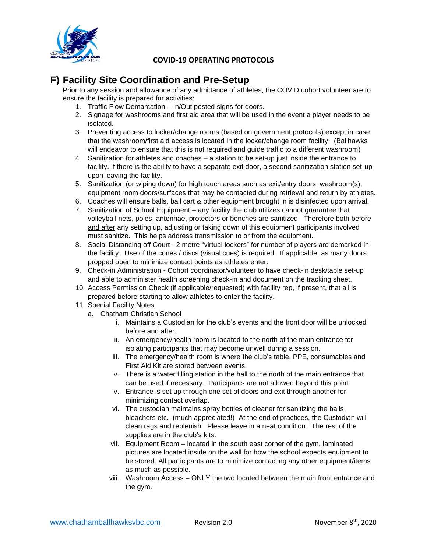

# **F) Facility Site Coordination and Pre-Setup**

Prior to any session and allowance of any admittance of athletes, the COVID cohort volunteer are to ensure the facility is prepared for activities:

- 1. Traffic Flow Demarcation In/Out posted signs for doors.
- 2. Signage for washrooms and first aid area that will be used in the event a player needs to be isolated.
- 3. Preventing access to locker/change rooms (based on government protocols) except in case that the washroom/first aid access is located in the locker/change room facility. (Ballhawks will endeavor to ensure that this is not required and guide traffic to a different washroom)
- 4. Sanitization for athletes and coaches a station to be set-up just inside the entrance to facility. If there is the ability to have a separate exit door, a second sanitization station set-up upon leaving the facility.
- 5. Sanitization (or wiping down) for high touch areas such as exit/entry doors, washroom(s), equipment room doors/surfaces that may be contacted during retrieval and return by athletes.
- 6. Coaches will ensure balls, ball cart & other equipment brought in is disinfected upon arrival.
- 7. Sanitization of School Equipment any facility the club utilizes cannot guarantee that volleyball nets, poles, antennae, protectors or benches are sanitized. Therefore both before and after any setting up, adjusting or taking down of this equipment participants involved must sanitize. This helps address transmission to or from the equipment.
- 8. Social Distancing off Court 2 metre "virtual lockers" for number of players are demarked in the facility. Use of the cones / discs (visual cues) is required. If applicable, as many doors propped open to minimize contact points as athletes enter.
- 9. Check-in Administration Cohort coordinator/volunteer to have check-in desk/table set-up and able to administer health screening check-in and document on the tracking sheet.
- 10. Access Permission Check (if applicable/requested) with facility rep, if present, that all is prepared before starting to allow athletes to enter the facility.
- 11. Special Facility Notes:
	- a. Chatham Christian School
		- i. Maintains a Custodian for the club's events and the front door will be unlocked before and after.
		- ii. An emergency/health room is located to the north of the main entrance for isolating participants that may become unwell during a session.
		- iii. The emergency/health room is where the club's table, PPE, consumables and First Aid Kit are stored between events.
		- iv. There is a water filling station in the hall to the north of the main entrance that can be used if necessary. Participants are not allowed beyond this point.
		- v. Entrance is set up through one set of doors and exit through another for minimizing contact overlap.
		- vi. The custodian maintains spray bottles of cleaner for sanitizing the balls, bleachers etc. (much appreciated!) At the end of practices, the Custodian will clean rags and replenish. Please leave in a neat condition. The rest of the supplies are in the club's kits.
		- vii. Equipment Room located in the south east corner of the gym, laminated pictures are located inside on the wall for how the school expects equipment to be stored. All participants are to minimize contacting any other equipment/items as much as possible.
		- viii. Washroom Access ONLY the two located between the main front entrance and the gym.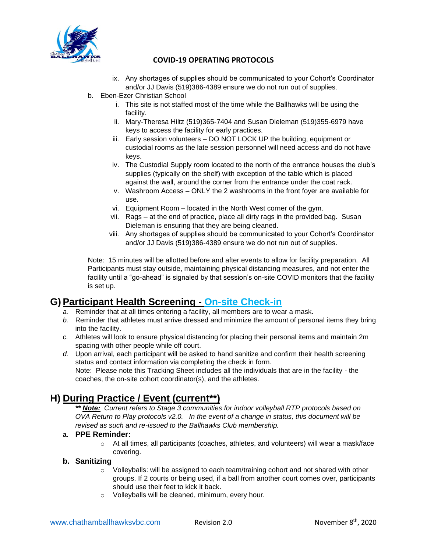

- ix. Any shortages of supplies should be communicated to your Cohort's Coordinator and/or JJ Davis (519)386-4389 ensure we do not run out of supplies.
- b. Eben-Ezer Christian School
	- i. This site is not staffed most of the time while the Ballhawks will be using the facility.
	- ii. Mary-Theresa Hiltz (519)365-7404 and Susan Dieleman (519)355-6979 have keys to access the facility for early practices.
	- iii. Early session volunteers DO NOT LOCK UP the building, equipment or custodial rooms as the late session personnel will need access and do not have keys.
	- iv. The Custodial Supply room located to the north of the entrance houses the club's supplies (typically on the shelf) with exception of the table which is placed against the wall, around the corner from the entrance under the coat rack.
	- v. Washroom Access ONLY the 2 washrooms in the front foyer are available for use.
	- vi. Equipment Room located in the North West corner of the gym.
	- vii. Rags at the end of practice, place all dirty rags in the provided bag. Susan Dieleman is ensuring that they are being cleaned.
	- viii. Any shortages of supplies should be communicated to your Cohort's Coordinator and/or JJ Davis (519)386-4389 ensure we do not run out of supplies.

Note: 15 minutes will be allotted before and after events to allow for facility preparation. All Participants must stay outside, maintaining physical distancing measures, and not enter the facility until a "go-ahead" is signaled by that session's on-site COVID monitors that the facility is set up.

# **G) Participant Health Screening - On-site Check-in**

- *a.* Reminder that at all times entering a facility, all members are to wear a mask.
- *b.* Reminder that athletes must arrive dressed and minimize the amount of personal items they bring into the facility.
- *c.* Athletes will look to ensure physical distancing for placing their personal items and maintain 2m spacing with other people while off court.
- *d.* Upon arrival, each participant will be asked to hand sanitize and confirm their health screening status and contact information via completing the check in form. Note: Please note this Tracking Sheet includes all the individuals that are in the facility - the coaches, the on-site cohort coordinator(s), and the athletes.

# **H) During Practice / Event (current\*\*)**

*\*\* Note: Current refers to Stage 3 communities for indoor volleyball RTP protocols based on OVA Return to Play protocols v2.0. In the event of a change in status, this document will be revised as such and re-issued to the Ballhawks Club membership.* 

### **a. PPE Reminder:**

 $\circ$  At all times, all participants (coaches, athletes, and volunteers) will wear a mask/face covering.

### **b. Sanitizing**

- $\circ$  Volleyballs: will be assigned to each team/training cohort and not shared with other groups. If 2 courts or being used, if a ball from another court comes over, participants should use their feet to kick it back.
- o Volleyballs will be cleaned, minimum, every hour.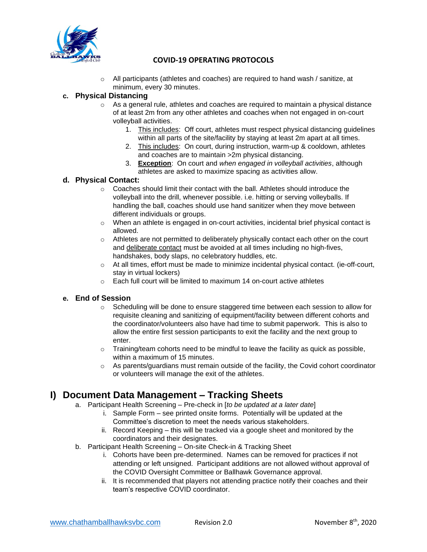

 $\circ$  All participants (athletes and coaches) are required to hand wash / sanitize, at minimum, every 30 minutes.

### **c. Physical Distancing**

- $\circ$  As a general rule, athletes and coaches are required to maintain a physical distance of at least 2m from any other athletes and coaches when not engaged in on-court volleyball activities.
	- 1. This includes: Off court, athletes must respect physical distancing guidelines within all parts of the site/facility by staying at least 2m apart at all times.
	- 2. This includes: On court, during instruction, warm-up & cooldown, athletes and coaches are to maintain >2m physical distancing.
	- 3. **Exception**: On court and *when engaged in volleyball activities*, although athletes are asked to maximize spacing as activities allow.

### **d. Physical Contact:**

- $\circ$  Coaches should limit their contact with the ball. Athletes should introduce the volleyball into the drill, whenever possible. i.e. hitting or serving volleyballs. If handling the ball, coaches should use hand sanitizer when they move between different individuals or groups.
- $\circ$  When an athlete is engaged in on-court activities, incidental brief physical contact is allowed.
- $\circ$  Athletes are not permitted to deliberately physically contact each other on the court and deliberate contact must be avoided at all times including no high-fives, handshakes, body slaps, no celebratory huddles, etc.
- o At all times, effort must be made to minimize incidental physical contact. (ie-off-court, stay in virtual lockers)
- $\circ$  Each full court will be limited to maximum 14 on-court active athletes

### **e. End of Session**

- $\circ$  Scheduling will be done to ensure staggered time between each session to allow for requisite cleaning and sanitizing of equipment/facility between different cohorts and the coordinator/volunteers also have had time to submit paperwork. This is also to allow the entire first session participants to exit the facility and the next group to enter.
- o Training/team cohorts need to be mindful to leave the facility as quick as possible, within a maximum of 15 minutes.
- $\circ$  As parents/guardians must remain outside of the facility, the Covid cohort coordinator or volunteers will manage the exit of the athletes.

### **I) Document Data Management – Tracking Sheets**

- a. Participant Health Screening Pre-check in [*to be updated at a later date*]
	- i. Sample Form see printed onsite forms. Potentially will be updated at the Committee's discretion to meet the needs various stakeholders.
	- ii. Record Keeping this will be tracked via a google sheet and monitored by the coordinators and their designates.
- b. Participant Health Screening On-site Check-in & Tracking Sheet
	- i. Cohorts have been pre-determined. Names can be removed for practices if not attending or left unsigned. Participant additions are not allowed without approval of the COVID Oversight Committee or Ballhawk Governance approval.
	- ii. It is recommended that players not attending practice notify their coaches and their team's respective COVID coordinator.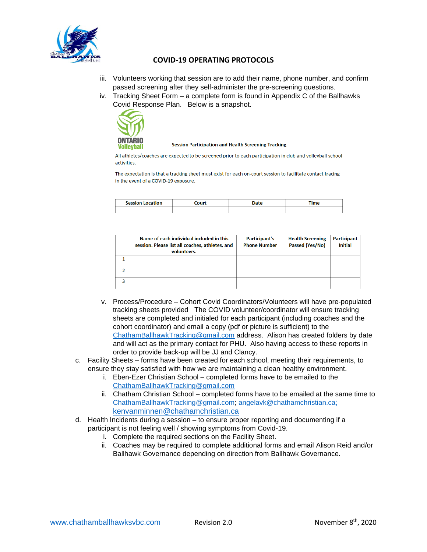

- iii. Volunteers working that session are to add their name, phone number, and confirm passed screening after they self-administer the pre-screening questions.
- iv. Tracking Sheet Form a complete form is found in Appendix C of the Ballhawks Covid Response Plan. Below is a snapshot.



**Session Participation and Health Screening Tracking** 

All athletes/coaches are expected to be screened prior to each participation in club and volleyball school activities.

The expectation is that a tracking sheet must exist for each on-court session to facilitate contact tracing in the event of a COVID-19 exposure.

| <b>Session Location</b> | ourt | <b>Vate</b> | <b>Time</b> |
|-------------------------|------|-------------|-------------|
|                         |      |             |             |

| Name of each individual included in this<br>session. Please list all coaches, athletes, and<br>volunteers. | Participant's<br><b>Phone Number</b> | <b>Health Screening</b><br>Passed (Yes/No) | <b>Participant</b><br><b>Initial</b> |
|------------------------------------------------------------------------------------------------------------|--------------------------------------|--------------------------------------------|--------------------------------------|
|                                                                                                            |                                      |                                            |                                      |
|                                                                                                            |                                      |                                            |                                      |
|                                                                                                            |                                      |                                            |                                      |

- v. Process/Procedure Cohort Covid Coordinators/Volunteers will have pre-populated tracking sheets provided The COVID volunteer/coordinator will ensure tracking sheets are completed and initialed for each participant (including coaches and the cohort coordinator) and email a copy (pdf or picture is sufficient) to the [ChathamBallhawkTracking@gmail.com](mailto:ChathamBallhawkTracking@gmail.com) address. Alison has created folders by date and will act as the primary contact for PHU. Also having access to these reports in order to provide back-up will be JJ and Clancy.
- c. Facility Sheets forms have been created for each school, meeting their requirements, to ensure they stay satisfied with how we are maintaining a clean healthy environment.
	- i. Eben-Ezer Christian School completed forms have to be emailed to the [ChathamBallhawkTracking@gmail.com](mailto:ChathamBallhawkTracking@gmail.com)
	- ii. Chatham Christian School completed forms have to be emailed at the same time to [ChathamBallhawkTracking@gmail.com;](mailto:ChathamBallhawkTracking@gmail.com) [angelavk@chathamchristian.ca](mailto:angelavk@chathamchristian.ca); [kenvanminnen@chathamchristian.ca](mailto:kenvanminnen@chathamchristian.ca)
- d. Health Incidents during a session to ensure proper reporting and documenting if a participant is not feeling well / showing symptoms from Covid-19.
	- i. Complete the required sections on the Facility Sheet.
	- ii. Coaches may be required to complete additional forms and email Alison Reid and/or Ballhawk Governance depending on direction from Ballhawk Governance.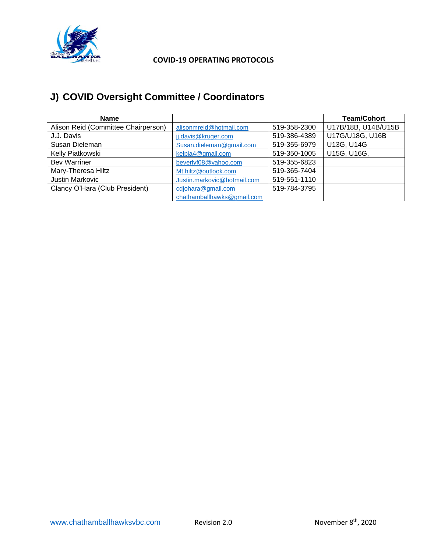

# **J) COVID Oversight Committee / Coordinators**

| <b>Name</b>                         |                             |              | <b>Team/Cohort</b>  |
|-------------------------------------|-----------------------------|--------------|---------------------|
| Alison Reid (Committee Chairperson) | alisonmreid@hotmail.com     | 519-358-2300 | U17B/18B, U14B/U15B |
| J.J. Davis                          | jj.davis@kruger.com         | 519-386-4389 | U17G/U18G, U16B     |
| Susan Dieleman                      | Susan.dieleman@gmail.com    | 519-355-6979 | U13G, U14G          |
| Kelly Piatkowski                    | kelpia4@gmail.com           | 519-350-1005 | U15G, U16G,         |
| <b>Bev Warriner</b>                 | beverlyf08@yahoo.com        | 519-355-6823 |                     |
| Mary-Theresa Hiltz                  | Mt.hiltz@outlook.com        | 519-365-7404 |                     |
| Justin Markovic                     | Justin.markovic@hotmail.com | 519-551-1110 |                     |
| Clancy O'Hara (Club President)      | cdjohara@gmail.com          | 519-784-3795 |                     |
|                                     | chathamballhawks@gmail.com  |              |                     |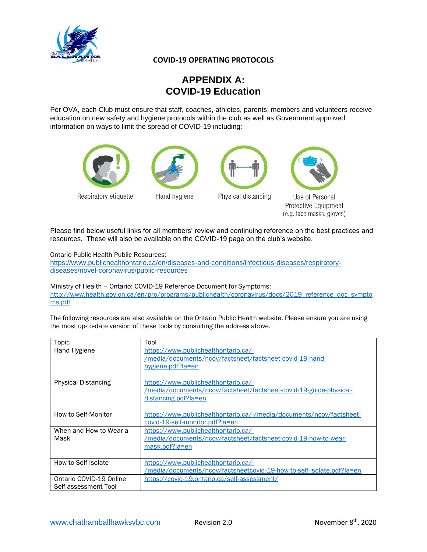

# **APPENDIX A: COVID-19 Education**

Per OVA, each Club must ensure that staff, coaches, athletes, parents, members and volunteers receive education on new safety and hygiene protocols within the club as well as Government approved information on ways to limit the spread of COVID-19 including:





Hand hygiene





Use of Personal Protective Equipment (e.g. face masks, gloves)

Please find below useful links for all members' review and continuing reference on the best practices and resources. These will also be available on the COVID-19 page on the club's website.

Ontario Public Health Public Resources:

[https://www.publichealthontario.ca/en/diseases-and-conditions/infectious-diseases/respiratory](https://www.publichealthontario.ca/en/diseases-and-conditions/infectious-diseases/respiratory-diseases/novel-coronavirus/public-resources)[diseases/novel-coronavirus/public-resources](https://www.publichealthontario.ca/en/diseases-and-conditions/infectious-diseases/respiratory-diseases/novel-coronavirus/public-resources)

Ministry of Health – Ontario: COVID-19 Reference Document for Symptoms: [http://www.health.gov.on.ca/en/pro/programs/publichealth/coronavirus/docs/2019\\_reference\\_doc\\_sympto](http://www.health.gov.on.ca/en/pro/programs/publichealth/coronavirus/docs/2019_reference_doc_symptoms.pdf) [ms.pdf](http://www.health.gov.on.ca/en/pro/programs/publichealth/coronavirus/docs/2019_reference_doc_symptoms.pdf)

The following resources are also available on the Ontario Public Health website. Please ensure you are using the most up-to-date version of these tools by consulting the address above.

| Topic                                           | Tool                                                                                                                               |
|-------------------------------------------------|------------------------------------------------------------------------------------------------------------------------------------|
| Hand Hygiene                                    | https://www.publichealthontario.ca/-<br>/media/documents/ncov/factsheet/factsheet-covid-19-hand-<br>hygiene.pdf?la=en              |
| <b>Physical Distancing</b>                      | https://www.publichealthontario.ca/-<br>/media/documents/ncov/factsheet/factsheet-covid-19-guide-physical-<br>distancing.pdf?la=en |
| How to Self-Monitor                             | https://www.publichealthontario.ca/-/media/documents/ncov/factsheet-<br>covid-19-self-monitor.pdf?la=en                            |
| When and How to Wear a<br>Mask                  | https://www.publichealthontario.ca/-<br>/media/documents/ncov/factsheet/factsheet-covid-19-how-to-wear-<br>mask.pdf?la=en          |
| How to Self-Isolate                             | https://www.publichealthontario.ca/-<br>/media/documents/ncov/factsheetcovid-19-how-to-self-isolate.pdf?la=en                      |
| Ontario COVID-19 Online<br>Self-assessment Tool | https://covid-19.ontario.ca/self-assessment/                                                                                       |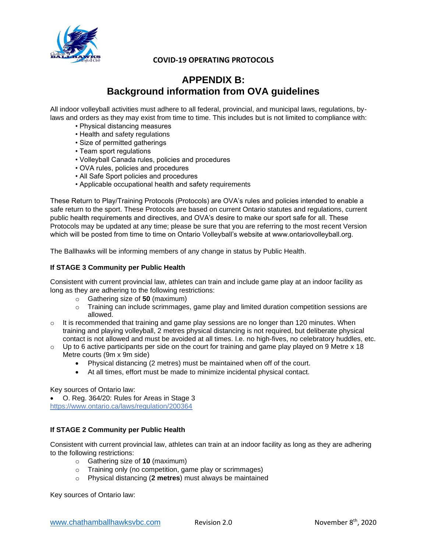

# **APPENDIX B: Background information from OVA guidelines**

All indoor volleyball activities must adhere to all federal, provincial, and municipal laws, regulations, bylaws and orders as they may exist from time to time. This includes but is not limited to compliance with:

- Physical distancing measures
- Health and safety regulations
- Size of permitted gatherings
- Team sport regulations
- Volleyball Canada rules, policies and procedures
- OVA rules, policies and procedures
- All Safe Sport policies and procedures
- Applicable occupational health and safety requirements

These Return to Play/Training Protocols (Protocols) are OVA's rules and policies intended to enable a safe return to the sport. These Protocols are based on current Ontario statutes and regulations, current public health requirements and directives, and OVA's desire to make our sport safe for all. These Protocols may be updated at any time; please be sure that you are referring to the most recent Version which will be posted from time to time on Ontario Volleyball's website at www.ontariovolleyball.org.

The Ballhawks will be informing members of any change in status by Public Health.

#### **If STAGE 3 Community per Public Health**

Consistent with current provincial law, athletes can train and include game play at an indoor facility as long as they are adhering to the following restrictions:

- o Gathering size of **50** (maximum)
- o Training can include scrimmages, game play and limited duration competition sessions are allowed.
- $\circ$  It is recommended that training and game play sessions are no longer than 120 minutes. When training and playing volleyball, 2 metres physical distancing is not required, but deliberate physical contact is not allowed and must be avoided at all times. I.e. no high-fives, no celebratory huddles, etc.
- $\circ$  Up to 6 active participants per side on the court for training and game play played on 9 Metre x 18 Metre courts (9m x 9m side)
	- Physical distancing (2 metres) must be maintained when off of the court.
	- At all times, effort must be made to minimize incidental physical contact.

Key sources of Ontario law:

• O. Reg. 364/20: Rules for Areas in Stage 3 https://www.ontario.ca/laws/regulation/200364

### **If STAGE 2 Community per Public Health**

Consistent with current provincial law, athletes can train at an indoor facility as long as they are adhering to the following restrictions:

- o Gathering size of **10** (maximum)
- o Training only (no competition, game play or scrimmages)
- o Physical distancing (**2 metres**) must always be maintained

Key sources of Ontario law: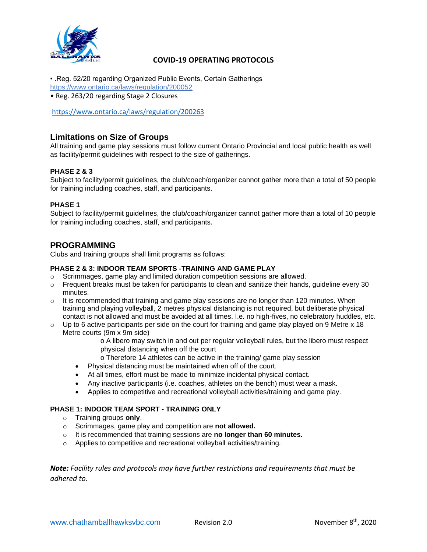

- .Reg. 52/20 regarding Organized Public Events, Certain Gatherings https://www.ontario.ca/laws/regulation/200052
- Reg. 263/20 regarding Stage 2 Closures

<https://www.ontario.ca/laws/regulation/200263>

### **Limitations on Size of Groups**

All training and game play sessions must follow current Ontario Provincial and local public health as well as facility/permit guidelines with respect to the size of gatherings.

### **PHASE 2 & 3**

Subject to facility/permit guidelines, the club/coach/organizer cannot gather more than a total of 50 people for training including coaches, staff, and participants.

### **PHASE 1**

Subject to facility/permit guidelines, the club/coach/organizer cannot gather more than a total of 10 people for training including coaches, staff, and participants.

### **PROGRAMMING**

Clubs and training groups shall limit programs as follows:

### **PHASE 2 & 3: INDOOR TEAM SPORTS -TRAINING AND GAME PLAY**

- o Scrimmages, game play and limited duration competition sessions are allowed.
- $\circ$  Frequent breaks must be taken for participants to clean and sanitize their hands, guideline every 30 minutes.
- $\circ$  It is recommended that training and game play sessions are no longer than 120 minutes. When training and playing volleyball, 2 metres physical distancing is not required, but deliberate physical contact is not allowed and must be avoided at all times. I.e. no high-fives, no celebratory huddles, etc.
- $\circ$  Up to 6 active participants per side on the court for training and game play played on 9 Metre x 18 Metre courts (9m x 9m side)
	- o A libero may switch in and out per regular volleyball rules, but the libero must respect physical distancing when off the court
	- o Therefore 14 athletes can be active in the training/ game play session
	- Physical distancing must be maintained when off of the court.
	- At all times, effort must be made to minimize incidental physical contact.
	- Any inactive participants (i.e. coaches, athletes on the bench) must wear a mask.
	- Applies to competitive and recreational volleyball activities/training and game play.

### **PHASE 1: INDOOR TEAM SPORT - TRAINING ONLY**

- o Training groups **only**.
- o Scrimmages, game play and competition are **not allowed.**
- o It is recommended that training sessions are **no longer than 60 minutes.**
- o Applies to competitive and recreational volleyball activities/training.

*Note: Facility rules and protocols may have further restrictions and requirements that must be adhered to.*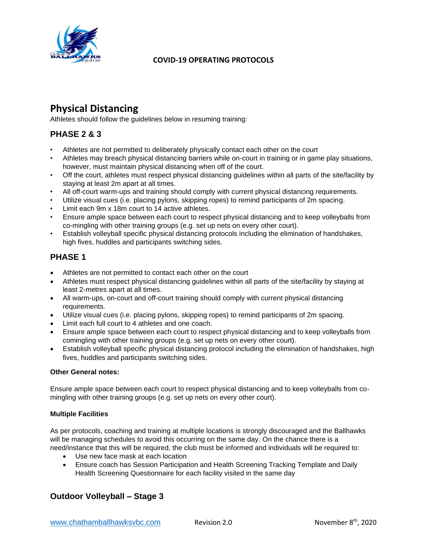

# **Physical Distancing**

Athletes should follow the guidelines below in resuming training:

### **PHASE 2 & 3**

- Athletes are not permitted to deliberately physically contact each other on the court
- Athletes may breach physical distancing barriers while on-court in training or in game play situations, however, must maintain physical distancing when off of the court.
- Off the court, athletes must respect physical distancing guidelines within all parts of the site/facility by staying at least 2m apart at all times.
- All off-court warm-ups and training should comply with current physical distancing requirements.
- Utilize visual cues (i.e. placing pylons, skipping ropes) to remind participants of 2m spacing.
- Limit each 9m x 18m court to 14 active athletes.
- Ensure ample space between each court to respect physical distancing and to keep volleyballs from co-mingling with other training groups (e.g. set up nets on every other court).
- Establish volleyball specific physical distancing protocols including the elimination of handshakes, high fives, huddles and participants switching sides.

### **PHASE 1**

- Athletes are not permitted to contact each other on the court
- Athletes must respect physical distancing guidelines within all parts of the site/facility by staying at least 2-metres apart at all times.
- All warm-ups, on-court and off-court training should comply with current physical distancing requirements.
- Utilize visual cues (i.e. placing pylons, skipping ropes) to remind participants of 2m spacing.
- Limit each full court to 4 athletes and one coach.
- Ensure ample space between each court to respect physical distancing and to keep volleyballs from comingling with other training groups (e.g. set up nets on every other court).
- Establish volleyball specific physical distancing protocol including the elimination of handshakes, high fives, huddles and participants switching sides.

### **Other General notes:**

Ensure ample space between each court to respect physical distancing and to keep volleyballs from comingling with other training groups (e.g. set up nets on every other court).

### **Multiple Facilities**

As per protocols, coaching and training at multiple locations is strongly discouraged and the Ballhawks will be managing schedules to avoid this occurring on the same day. On the chance there is a need/instance that this will be required, the club must be informed and individuals will be required to:

- Use new face mask at each location
- Ensure coach has Session Participation and Health Screening Tracking Template and Daily Health Screening Questionnaire for each facility visited in the same day

### **Outdoor Volleyball – Stage 3**